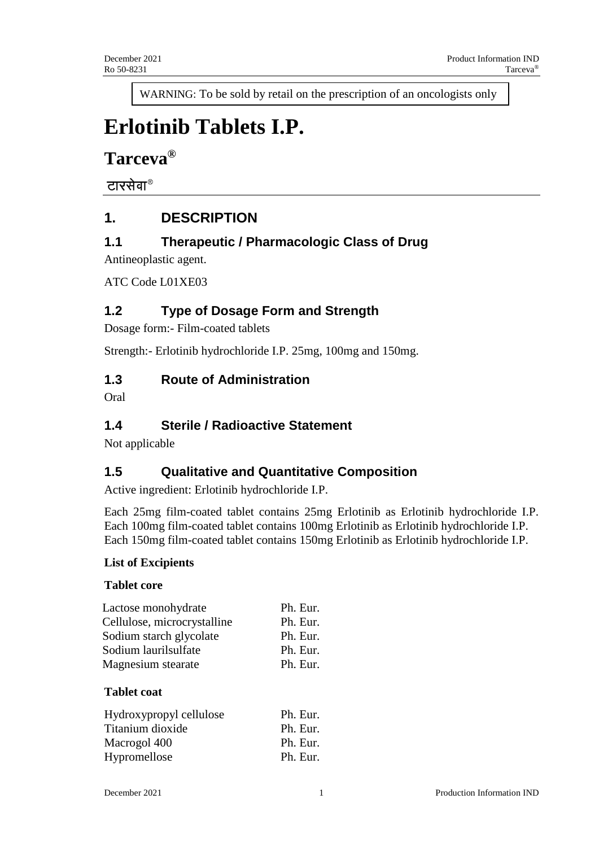WARNING: To be sold by retail on the prescription of an oncologists only

# **Erlotinib Tablets I.P.**

**Tarceva®**

टारसेवा®

# **1. DESCRIPTION**

# **1.1 Therapeutic / Pharmacologic Class of Drug**

Antineoplastic agent.

ATC Code L01XE03

# **1.2 Type of Dosage Form and Strength**

Dosage form:- Film-coated tablets

Strength:- Erlotinib hydrochloride I.P. 25mg, 100mg and 150mg.

### **1.3 Route of Administration**

Oral

# **1.4 Sterile / Radioactive Statement**

Not applicable

# **1.5 Qualitative and Quantitative Composition**

Active ingredient: Erlotinib hydrochloride I.P.

Each 25mg film-coated tablet contains 25mg Erlotinib as Erlotinib hydrochloride I.P. Each 100mg film-coated tablet contains 100mg Erlotinib as Erlotinib hydrochloride I.P. Each 150mg film-coated tablet contains 150mg Erlotinib as Erlotinib hydrochloride I.P.

#### **List of Excipients**

#### **Tablet core**

| Lactose monohydrate                      | Ph. Eur. |
|------------------------------------------|----------|
| Cellulose, microcrystalline              | Ph. Eur. |
| Sodium starch glycolate                  | Ph. Eur. |
| Sodium laurilsulfate                     | Ph. Eur. |
| Magnesium stearate<br><b>Tablet coat</b> | Ph. Eur. |
| Hydroxypropyl cellulose                  | Ph. Eur. |
| Titanium dioxide                         | Ph. Eur. |
| Macrogol 400                             | Ph. Eur. |
| Hypromellose                             | Ph. Eur. |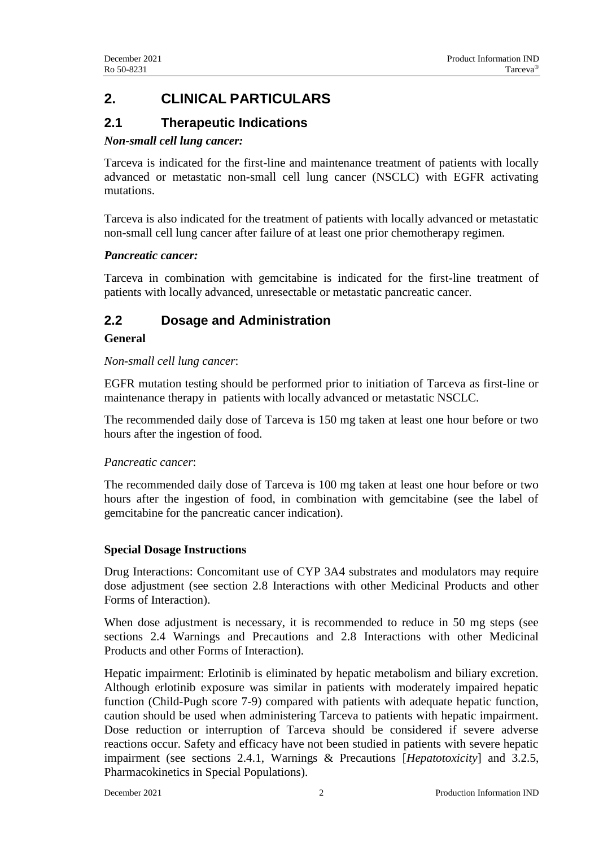# **2. CLINICAL PARTICULARS**

# **2.1 Therapeutic Indications**

#### *Non-small cell lung cancer:*

Tarceva is indicated for the first-line and maintenance treatment of patients with locally advanced or metastatic non-small cell lung cancer (NSCLC) with EGFR activating mutations.

Tarceva is also indicated for the treatment of patients with locally advanced or metastatic non-small cell lung cancer after failure of at least one prior chemotherapy regimen.

#### *Pancreatic cancer:*

Tarceva in combination with gemcitabine is indicated for the first-line treatment of patients with locally advanced, unresectable or metastatic pancreatic cancer.

# **2.2 Dosage and Administration**

#### **General**

#### *Non-small cell lung cancer*:

EGFR mutation testing should be performed prior to initiation of Tarceva as first-line or maintenance therapy in patients with locally advanced or metastatic NSCLC.

The recommended daily dose of Tarceva is 150 mg taken at least one hour before or two hours after the ingestion of food.

#### *Pancreatic cancer*:

The recommended daily dose of Tarceva is 100 mg taken at least one hour before or two hours after the ingestion of food, in combination with gemcitabine (see the label of gemcitabine for the pancreatic cancer indication).

#### **Special Dosage Instructions**

Drug Interactions: Concomitant use of CYP 3A4 substrates and modulators may require dose adjustment (see section 2.8 Interactions with other Medicinal Products and other Forms of Interaction).

When dose adjustment is necessary, it is recommended to reduce in 50 mg steps (see sections 2.4 Warnings and Precautions and 2.8 Interactions with other Medicinal Products and other Forms of Interaction).

Hepatic impairment: Erlotinib is eliminated by hepatic metabolism and biliary excretion. Although erlotinib exposure was similar in patients with moderately impaired hepatic function (Child-Pugh score 7-9) compared with patients with adequate hepatic function, caution should be used when administering Tarceva to patients with hepatic impairment. Dose reduction or interruption of Tarceva should be considered if severe adverse reactions occur. Safety and efficacy have not been studied in patients with severe hepatic impairment (see sections 2.4.1, Warnings & Precautions [*Hepatotoxicity*] and 3.2.5, Pharmacokinetics in Special Populations).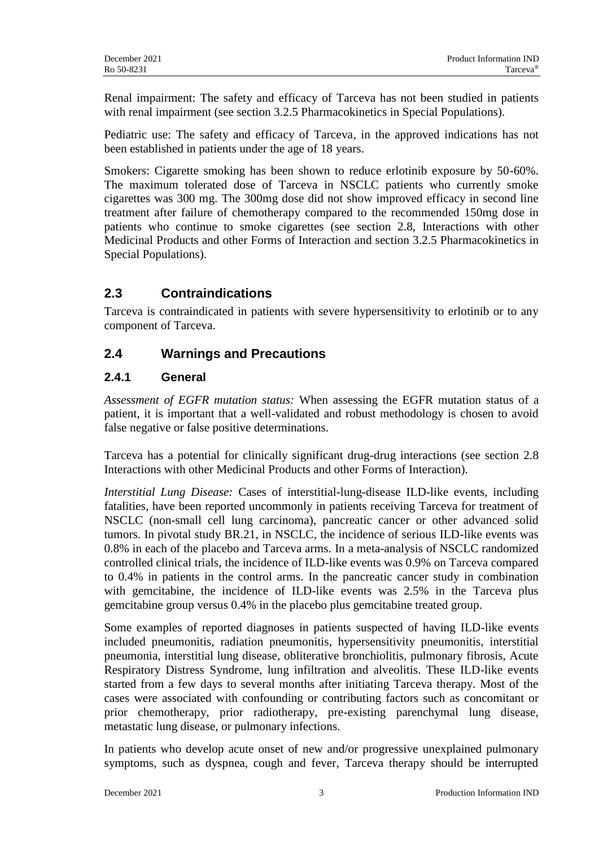Renal impairment: The safety and efficacy of Tarceva has not been studied in patients with renal impairment (see section 3.2.5 Pharmacokinetics in Special Populations).

Pediatric use: The safety and efficacy of Tarceva, in the approved indications has not been established in patients under the age of 18 years.

Smokers: Cigarette smoking has been shown to reduce erlotinib exposure by 50-60%. The maximum tolerated dose of Tarceva in NSCLC patients who currently smoke cigarettes was 300 mg. The 300mg dose did not show improved efficacy in second line treatment after failure of chemotherapy compared to the recommended 150mg dose in patients who continue to smoke cigarettes (see section 2.8, Interactions with other Medicinal Products and other Forms of Interaction and section 3.2.5 Pharmacokinetics in Special Populations).

# **2.3 Contraindications**

Tarceva is contraindicated in patients with severe hypersensitivity to erlotinib or to any component of Tarceva.

# **2.4 Warnings and Precautions**

### **2.4.1 General**

*Assessment of EGFR mutation status:* When assessing the EGFR mutation status of a patient, it is important that a well-validated and robust methodology is chosen to avoid false negative or false positive determinations.

Tarceva has a potential for clinically significant drug-drug interactions (see section 2.8 Interactions with other Medicinal Products and other Forms of Interaction).

*Interstitial Lung Disease:* Cases of interstitial-lung-disease ILD-like events, including fatalities, have been reported uncommonly in patients receiving Tarceva for treatment of NSCLC (non-small cell lung carcinoma), pancreatic cancer or other advanced solid tumors. In pivotal study BR.21, in NSCLC, the incidence of serious ILD-like events was 0.8% in each of the placebo and Tarceva arms. In a meta-analysis of NSCLC randomized controlled clinical trials, the incidence of ILD-like events was 0.9% on Tarceva compared to 0.4% in patients in the control arms. In the pancreatic cancer study in combination with gemcitabine, the incidence of ILD-like events was 2.5% in the Tarceva plus gemcitabine group versus 0.4% in the placebo plus gemcitabine treated group.

Some examples of reported diagnoses in patients suspected of having ILD-like events included pneumonitis, radiation pneumonitis, hypersensitivity pneumonitis, interstitial pneumonia, interstitial lung disease, obliterative bronchiolitis, pulmonary fibrosis, Acute Respiratory Distress Syndrome, lung infiltration and alveolitis. These ILD-like events started from a few days to several months after initiating Tarceva therapy. Most of the cases were associated with confounding or contributing factors such as concomitant or prior chemotherapy, prior radiotherapy, pre-existing parenchymal lung disease, metastatic lung disease, or pulmonary infections.

In patients who develop acute onset of new and/or progressive unexplained pulmonary symptoms, such as dyspnea, cough and fever, Tarceva therapy should be interrupted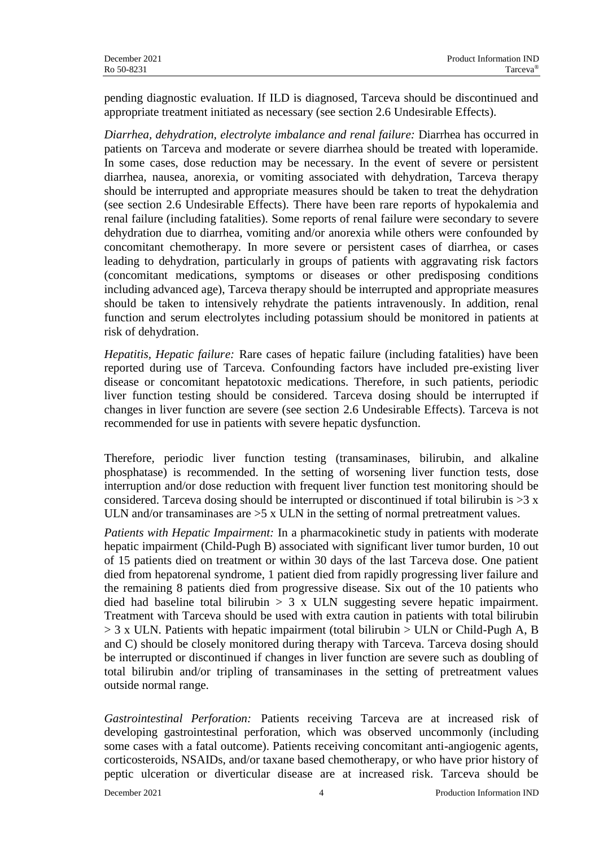pending diagnostic evaluation. If ILD is diagnosed, Tarceva should be discontinued and appropriate treatment initiated as necessary (see section 2.6 Undesirable Effects).

*Diarrhea, dehydration, electrolyte imbalance and renal failure:* Diarrhea has occurred in patients on Tarceva and moderate or severe diarrhea should be treated with loperamide. In some cases, dose reduction may be necessary. In the event of severe or persistent diarrhea, nausea, anorexia, or vomiting associated with dehydration, Tarceva therapy should be interrupted and appropriate measures should be taken to treat the dehydration (see section 2.6 Undesirable Effects). There have been rare reports of hypokalemia and renal failure (including fatalities). Some reports of renal failure were secondary to severe dehydration due to diarrhea, vomiting and/or anorexia while others were confounded by concomitant chemotherapy. In more severe or persistent cases of diarrhea, or cases leading to dehydration, particularly in groups of patients with aggravating risk factors (concomitant medications, symptoms or diseases or other predisposing conditions including advanced age), Tarceva therapy should be interrupted and appropriate measures should be taken to intensively rehydrate the patients intravenously. In addition, renal function and serum electrolytes including potassium should be monitored in patients at risk of dehydration.

*Hepatitis, Hepatic failure:* Rare cases of hepatic failure (including fatalities) have been reported during use of Tarceva. Confounding factors have included pre-existing liver disease or concomitant hepatotoxic medications. Therefore, in such patients, periodic liver function testing should be considered. Tarceva dosing should be interrupted if changes in liver function are severe (see section 2.6 Undesirable Effects). Tarceva is not recommended for use in patients with severe hepatic dysfunction.

Therefore, periodic liver function testing (transaminases, bilirubin, and alkaline phosphatase) is recommended. In the setting of worsening liver function tests, dose interruption and/or dose reduction with frequent liver function test monitoring should be considered. Tarceva dosing should be interrupted or discontinued if total bilirubin is  $>3 x$ ULN and/or transaminases are  $>5$  x ULN in the setting of normal pretreatment values.

*Patients with Hepatic Impairment:* In a pharmacokinetic study in patients with moderate hepatic impairment (Child-Pugh B) associated with significant liver tumor burden, 10 out of 15 patients died on treatment or within 30 days of the last Tarceva dose. One patient died from hepatorenal syndrome, 1 patient died from rapidly progressing liver failure and the remaining 8 patients died from progressive disease. Six out of the 10 patients who died had baseline total bilirubin > 3 x ULN suggesting severe hepatic impairment. Treatment with Tarceva should be used with extra caution in patients with total bilirubin  $> 3$  x ULN. Patients with hepatic impairment (total bilirubin  $>$  ULN or Child-Pugh A, B and C) should be closely monitored during therapy with Tarceva. Tarceva dosing should be interrupted or discontinued if changes in liver function are severe such as doubling of total bilirubin and/or tripling of transaminases in the setting of pretreatment values outside normal range.

*Gastrointestinal Perforation:* Patients receiving Tarceva are at increased risk of developing gastrointestinal perforation, which was observed uncommonly (including some cases with a fatal outcome). Patients receiving concomitant anti-angiogenic agents, corticosteroids, NSAIDs, and/or taxane based chemotherapy, or who have prior history of peptic ulceration or diverticular disease are at increased risk. Tarceva should be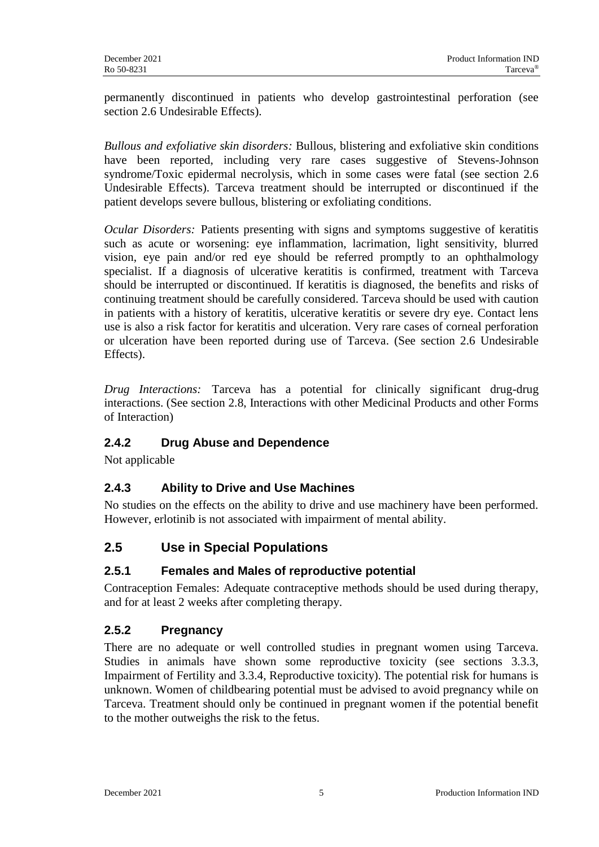permanently discontinued in patients who develop gastrointestinal perforation (see section 2.6 Undesirable Effects).

*Bullous and exfoliative skin disorders:* Bullous, blistering and exfoliative skin conditions have been reported, including very rare cases suggestive of Stevens-Johnson syndrome/Toxic epidermal necrolysis, which in some cases were fatal (see section 2.6 Undesirable Effects). Tarceva treatment should be interrupted or discontinued if the patient develops severe bullous, blistering or exfoliating conditions.

*Ocular Disorders:* Patients presenting with signs and symptoms suggestive of keratitis such as acute or worsening: eye inflammation, lacrimation, light sensitivity, blurred vision, eye pain and/or red eye should be referred promptly to an ophthalmology specialist. If a diagnosis of ulcerative keratitis is confirmed, treatment with Tarceva should be interrupted or discontinued. If keratitis is diagnosed, the benefits and risks of continuing treatment should be carefully considered. Tarceva should be used with caution in patients with a history of keratitis, ulcerative keratitis or severe dry eye. Contact lens use is also a risk factor for keratitis and ulceration. Very rare cases of corneal perforation or ulceration have been reported during use of Tarceva. (See section 2.6 Undesirable Effects).

*Drug Interactions:* Tarceva has a potential for clinically significant drug-drug interactions. (See section 2.8, Interactions with other Medicinal Products and other Forms of Interaction)

# **2.4.2 Drug Abuse and Dependence**

Not applicable

# **2.4.3 Ability to Drive and Use Machines**

No studies on the effects on the ability to drive and use machinery have been performed. However, erlotinib is not associated with impairment of mental ability.

# **2.5 Use in Special Populations**

# **2.5.1 Females and Males of reproductive potential**

Contraception Females: Adequate contraceptive methods should be used during therapy, and for at least 2 weeks after completing therapy.

# **2.5.2 Pregnancy**

There are no adequate or well controlled studies in pregnant women using Tarceva. Studies in animals have shown some reproductive toxicity (see sections 3.3.3, Impairment of Fertility and 3.3.4, Reproductive toxicity). The potential risk for humans is unknown. Women of childbearing potential must be advised to avoid pregnancy while on Tarceva. Treatment should only be continued in pregnant women if the potential benefit to the mother outweighs the risk to the fetus.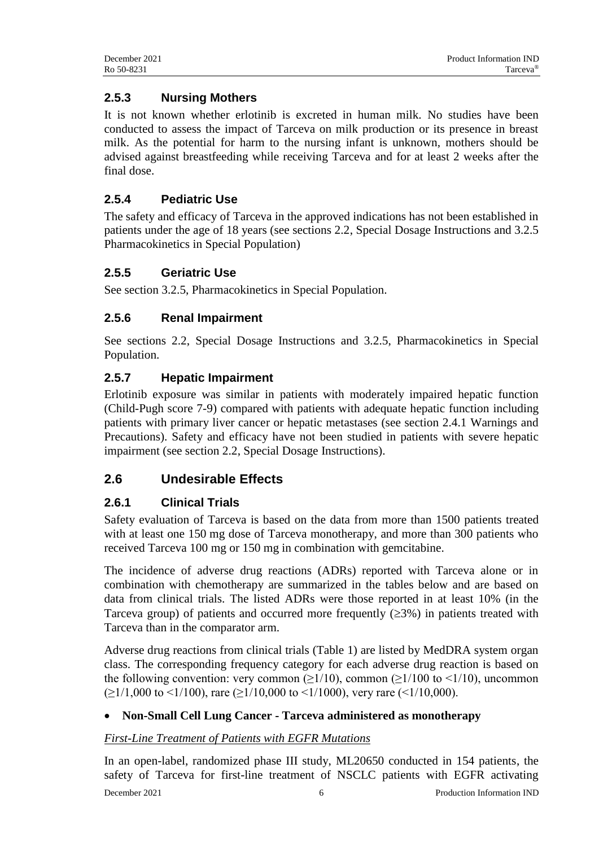# **2.5.3 Nursing Mothers**

It is not known whether erlotinib is excreted in human milk. No studies have been conducted to assess the impact of Tarceva on milk production or its presence in breast milk. As the potential for harm to the nursing infant is unknown, mothers should be advised against breastfeeding while receiving Tarceva and for at least 2 weeks after the final dose.

# **2.5.4 Pediatric Use**

The safety and efficacy of Tarceva in the approved indications has not been established in patients under the age of 18 years (see sections 2.2, Special Dosage Instructions and 3.2.5 Pharmacokinetics in Special Population)

# **2.5.5 Geriatric Use**

See section 3.2.5, Pharmacokinetics in Special Population.

# **2.5.6 Renal Impairment**

See sections 2.2, Special Dosage Instructions and 3.2.5, Pharmacokinetics in Special Population.

# **2.5.7 Hepatic Impairment**

Erlotinib exposure was similar in patients with moderately impaired hepatic function (Child-Pugh score 7-9) compared with patients with adequate hepatic function including patients with primary liver cancer or hepatic metastases (see section 2.4.1 Warnings and Precautions). Safety and efficacy have not been studied in patients with severe hepatic impairment (see section 2.2, Special Dosage Instructions).

# **2.6 Undesirable Effects**

# **2.6.1 Clinical Trials**

Safety evaluation of Tarceva is based on the data from more than 1500 patients treated with at least one 150 mg dose of Tarceva monotherapy, and more than 300 patients who received Tarceva 100 mg or 150 mg in combination with gemcitabine.

The incidence of adverse drug reactions (ADRs) reported with Tarceva alone or in combination with chemotherapy are summarized in the tables below and are based on data from clinical trials. The listed ADRs were those reported in at least 10% (in the Tarceva group) of patients and occurred more frequently  $(\geq 3\%)$  in patients treated with Tarceva than in the comparator arm.

Adverse drug reactions from clinical trials (Table 1) are listed by MedDRA system organ class. The corresponding frequency category for each adverse drug reaction is based on the following convention: very common ( $\geq$ 1/10), common ( $\geq$ 1/100 to <1/10), uncommon  $(\geq 1/1,000$  to <1/100), rare ( $\geq 1/10,000$  to <1/1000), very rare (<1/10,000).

# **Non-Small Cell Lung Cancer - Tarceva administered as monotherapy**

# *First-Line Treatment of Patients with EGFR Mutations*

December 2021 6 Production Information IND In an open-label, randomized phase III study, ML20650 conducted in 154 patients, the safety of Tarceva for first-line treatment of NSCLC patients with EGFR activating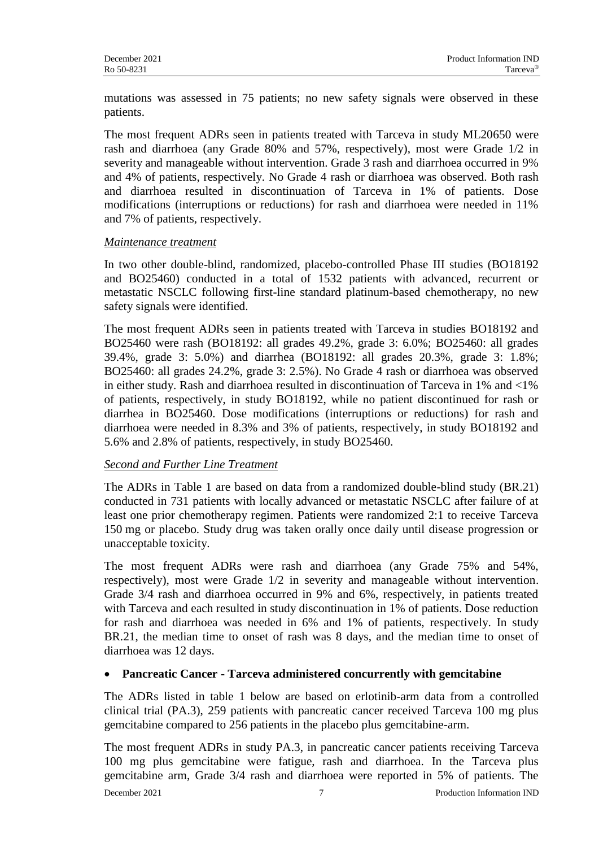mutations was assessed in 75 patients; no new safety signals were observed in these patients.

The most frequent ADRs seen in patients treated with Tarceva in study ML20650 were rash and diarrhoea (any Grade 80% and 57%, respectively), most were Grade 1/2 in severity and manageable without intervention. Grade 3 rash and diarrhoea occurred in 9% and 4% of patients, respectively. No Grade 4 rash or diarrhoea was observed. Both rash and diarrhoea resulted in discontinuation of Tarceva in 1% of patients. Dose modifications (interruptions or reductions) for rash and diarrhoea were needed in 11% and 7% of patients, respectively.

#### *Maintenance treatment*

In two other double-blind, randomized, placebo-controlled Phase III studies (BO18192 and BO25460) conducted in a total of 1532 patients with advanced, recurrent or metastatic NSCLC following first-line standard platinum-based chemotherapy, no new safety signals were identified.

The most frequent ADRs seen in patients treated with Tarceva in studies BO18192 and BO25460 were rash (BO18192: all grades 49.2%, grade 3: 6.0%; BO25460: all grades 39.4%, grade 3: 5.0%) and diarrhea (BO18192: all grades 20.3%, grade 3: 1.8%; BO25460: all grades 24.2%, grade 3: 2.5%). No Grade 4 rash or diarrhoea was observed in either study. Rash and diarrhoea resulted in discontinuation of Tarceva in 1% and <1% of patients, respectively, in study BO18192, while no patient discontinued for rash or diarrhea in BO25460. Dose modifications (interruptions or reductions) for rash and diarrhoea were needed in 8.3% and 3% of patients, respectively, in study BO18192 and 5.6% and 2.8% of patients, respectively, in study BO25460.

#### *Second and Further Line Treatment*

The ADRs in Table 1 are based on data from a randomized double-blind study (BR.21) conducted in 731 patients with locally advanced or metastatic NSCLC after failure of at least one prior chemotherapy regimen. Patients were randomized 2:1 to receive Tarceva 150 mg or placebo. Study drug was taken orally once daily until disease progression or unacceptable toxicity.

The most frequent ADRs were rash and diarrhoea (any Grade 75% and 54%, respectively), most were Grade 1/2 in severity and manageable without intervention. Grade 3/4 rash and diarrhoea occurred in 9% and 6%, respectively, in patients treated with Tarceva and each resulted in study discontinuation in 1% of patients. Dose reduction for rash and diarrhoea was needed in 6% and 1% of patients, respectively. In study BR.21, the median time to onset of rash was 8 days, and the median time to onset of diarrhoea was 12 days.

#### **Pancreatic Cancer - Tarceva administered concurrently with gemcitabine**

The ADRs listed in table 1 below are based on erlotinib-arm data from a controlled clinical trial (PA.3), 259 patients with pancreatic cancer received Tarceva 100 mg plus gemcitabine compared to 256 patients in the placebo plus gemcitabine-arm.

December 2021 7 Production Information IND The most frequent ADRs in study PA.3, in pancreatic cancer patients receiving Tarceva 100 mg plus gemcitabine were fatigue, rash and diarrhoea. In the Tarceva plus gemcitabine arm, Grade 3/4 rash and diarrhoea were reported in 5% of patients. The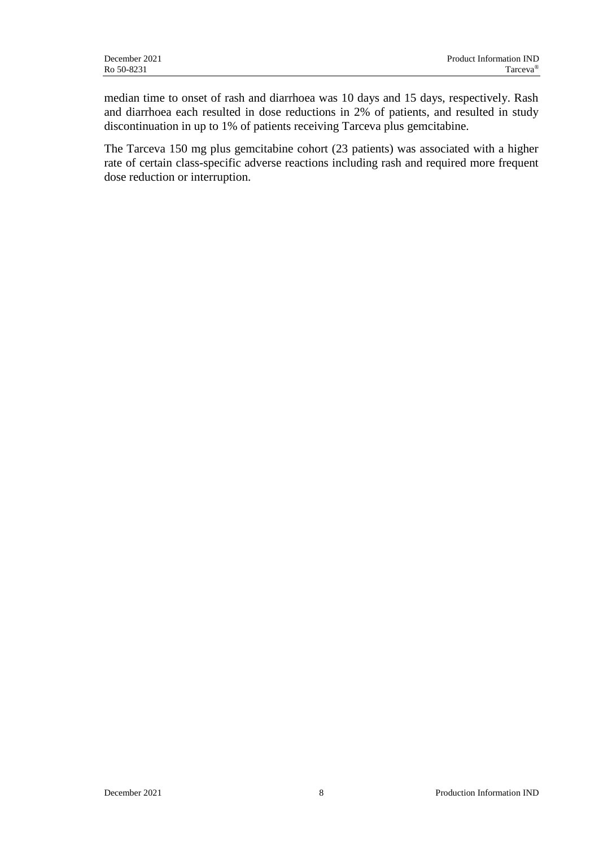median time to onset of rash and diarrhoea was 10 days and 15 days, respectively. Rash and diarrhoea each resulted in dose reductions in 2% of patients, and resulted in study discontinuation in up to 1% of patients receiving Tarceva plus gemcitabine.

The Tarceva 150 mg plus gemcitabine cohort (23 patients) was associated with a higher rate of certain class-specific adverse reactions including rash and required more frequent dose reduction or interruption.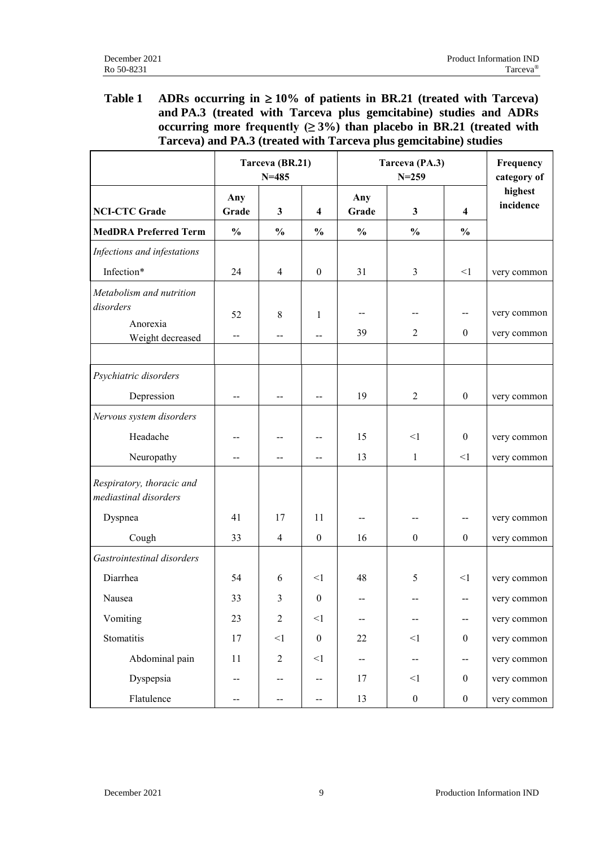### Table 1 **ADRs** occurring in  $\geq 10\%$  of patients in BR.21 (treated with Tarceva) **and PA.3 (treated with Tarceva plus gemcitabine) studies and ADRs**  occurring more frequently  $(≥ 3%)$  than placebo in BR.21 (treated with **Tarceva) and PA.3 (treated with Tarceva plus gemcitabine) studies**

|                                                    |                          | Tarceva (BR.21)<br>$N = 485$ |                         |               | Tarceva (PA.3)<br>$N = 259$ |                         | Frequency<br>category of |
|----------------------------------------------------|--------------------------|------------------------------|-------------------------|---------------|-----------------------------|-------------------------|--------------------------|
| <b>NCI-CTC Grade</b>                               | Any<br>Grade             | $\mathbf{3}$                 | $\overline{\mathbf{4}}$ | Any<br>Grade  | $\mathbf{3}$                | $\overline{\mathbf{4}}$ | highest<br>incidence     |
| <b>MedDRA Preferred Term</b>                       | $\frac{0}{0}$            | $\frac{0}{0}$                | $\frac{0}{0}$           | $\frac{0}{0}$ | $\frac{0}{0}$               | $\frac{0}{0}$           |                          |
| Infections and infestations                        |                          |                              |                         |               |                             |                         |                          |
| Infection*                                         | 24                       | $\overline{4}$               | $\boldsymbol{0}$        | 31            | $\mathfrak{Z}$              | $<$ 1                   | very common              |
| Metabolism and nutrition                           |                          |                              |                         |               |                             |                         |                          |
| disorders                                          | 52                       | 8                            | 1                       | --            |                             | $- -$                   | very common              |
| Anorexia<br>Weight decreased                       | $\overline{\phantom{a}}$ | $-$                          | $-$                     | 39            | 2                           | $\boldsymbol{0}$        | very common              |
|                                                    |                          |                              |                         |               |                             |                         |                          |
| Psychiatric disorders                              |                          |                              |                         |               |                             |                         |                          |
| Depression                                         |                          | $-$                          |                         | 19            | 2                           | $\boldsymbol{0}$        | very common              |
| Nervous system disorders                           |                          |                              |                         |               |                             |                         |                          |
| Headache                                           |                          |                              |                         | 15            | $\leq$ 1                    | $\boldsymbol{0}$        | very common              |
| Neuropathy                                         |                          | $-$                          | $-$                     | 13            | $\mathbf{1}$                | <1                      | very common              |
| Respiratory, thoracic and<br>mediastinal disorders |                          |                              |                         |               |                             |                         |                          |
| Dyspnea                                            | 41                       | 17                           | 11                      |               |                             | $-$                     | very common              |
| Cough                                              | 33                       | $\overline{4}$               | $\boldsymbol{0}$        | 16            | $\boldsymbol{0}$            | $\mathbf{0}$            | very common              |
| Gastrointestinal disorders                         |                          |                              |                         |               |                             |                         |                          |
| Diarrhea                                           | 54                       | 6                            | <1                      | 48            | 5                           | <1                      | very common              |
| Nausea                                             | 33                       | 3                            | $\boldsymbol{0}$        | --            | $\overline{\phantom{a}}$    | --                      | very common              |
| Vomiting                                           | 23                       | $\overline{2}$               | $\leq$ 1                | --            |                             | --                      | very common              |
| Stomatitis                                         | 17                       | $<\!1$                       | $\boldsymbol{0}$        | 22            | $\leq$ 1                    | $\boldsymbol{0}$        | very common              |
| Abdominal pain                                     | 11                       | $\boldsymbol{2}$             | $<$ $\!1$               | --            | $-\!$                       | $-$                     | very common              |
| Dyspepsia                                          | $-\,-$                   | --                           | $-$                     | 17            | $\leq$ 1                    | $\boldsymbol{0}$        | very common              |
| Flatulence                                         | $- -$                    | --                           | --                      | 13            | $\boldsymbol{0}$            | $\boldsymbol{0}$        | very common              |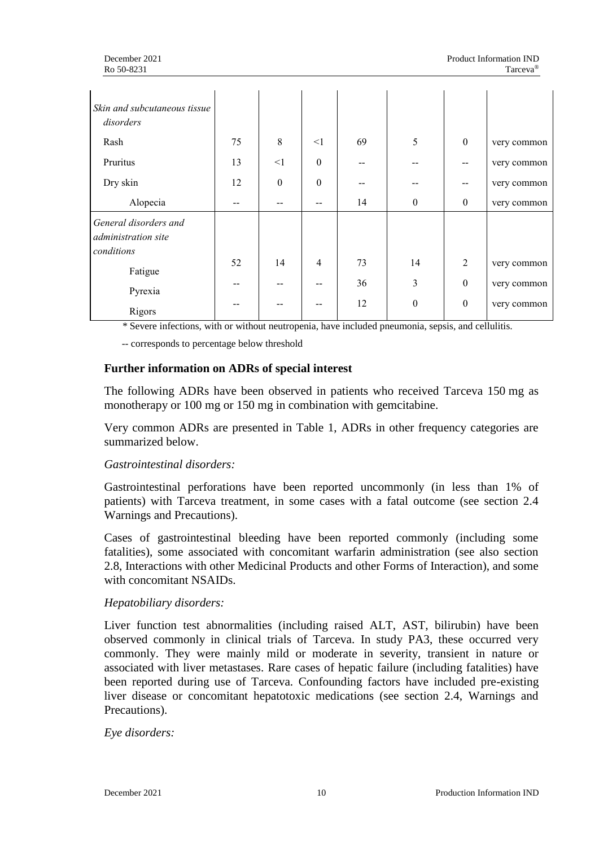| Skin and subcutaneous tissue<br>disorders                  |    |              |                |    |                  |                  |             |
|------------------------------------------------------------|----|--------------|----------------|----|------------------|------------------|-------------|
| Rash                                                       | 75 | 8            | $\leq$ 1       | 69 | 5                | $\boldsymbol{0}$ | very common |
| Pruritus                                                   | 13 | $\leq$ 1     | $\theta$       |    |                  |                  | very common |
| Dry skin                                                   | 12 | $\mathbf{0}$ | $\Omega$       |    |                  | --               | very common |
| Alopecia                                                   |    |              |                | 14 | $\boldsymbol{0}$ | $\boldsymbol{0}$ | very common |
| General disorders and<br>administration site<br>conditions |    |              |                |    |                  |                  |             |
| Fatigue                                                    | 52 | 14           | $\overline{4}$ | 73 | 14               | $\overline{2}$   | very common |
| Pyrexia                                                    |    |              |                | 36 | 3                | $\boldsymbol{0}$ | very common |
| Rigors                                                     |    |              |                | 12 | $\boldsymbol{0}$ | $\boldsymbol{0}$ | very common |

*\** Severe infections, with or without neutropenia, have included pneumonia, sepsis, and cellulitis.

-- corresponds to percentage below threshold

#### **Further information on ADRs of special interest**

The following ADRs have been observed in patients who received Tarceva 150 mg as monotherapy or 100 mg or 150 mg in combination with gemcitabine.

Very common ADRs are presented in Table 1, ADRs in other frequency categories are summarized below.

#### *Gastrointestinal disorders:*

Gastrointestinal perforations have been reported uncommonly (in less than 1% of patients) with Tarceva treatment, in some cases with a fatal outcome (see section 2.4 Warnings and Precautions).

Cases of gastrointestinal bleeding have been reported commonly (including some fatalities), some associated with concomitant warfarin administration (see also section 2.8, Interactions with other Medicinal Products and other Forms of Interaction), and some with concomitant NSAIDs.

#### *Hepatobiliary disorders:*

Liver function test abnormalities (including raised ALT, AST, bilirubin) have been observed commonly in clinical trials of Tarceva. In study PA3, these occurred very commonly. They were mainly mild or moderate in severity, transient in nature or associated with liver metastases. Rare cases of hepatic failure (including fatalities) have been reported during use of Tarceva. Confounding factors have included pre-existing liver disease or concomitant hepatotoxic medications (see section 2.4, Warnings and Precautions).

*Eye disorders:*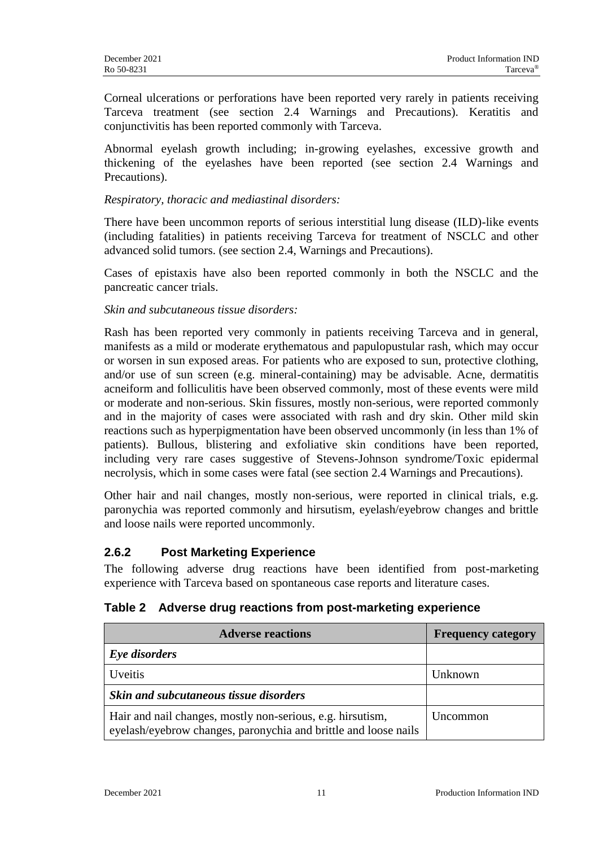Corneal ulcerations or perforations have been reported very rarely in patients receiving Tarceva treatment (see section 2.4 Warnings and Precautions). Keratitis and conjunctivitis has been reported commonly with Tarceva.

Abnormal eyelash growth including; in-growing eyelashes, excessive growth and thickening of the eyelashes have been reported (see section 2.4 Warnings and Precautions).

#### *Respiratory, thoracic and mediastinal disorders:*

There have been uncommon reports of serious interstitial lung disease (ILD)-like events (including fatalities) in patients receiving Tarceva for treatment of NSCLC and other advanced solid tumors. (see section 2.4, Warnings and Precautions).

Cases of epistaxis have also been reported commonly in both the NSCLC and the pancreatic cancer trials.

#### *Skin and subcutaneous tissue disorders:*

Rash has been reported very commonly in patients receiving Tarceva and in general, manifests as a mild or moderate erythematous and papulopustular rash, which may occur or worsen in sun exposed areas. For patients who are exposed to sun, protective clothing, and/or use of sun screen (e.g. mineral-containing) may be advisable. Acne, dermatitis acneiform and folliculitis have been observed commonly, most of these events were mild or moderate and non-serious. Skin fissures, mostly non-serious, were reported commonly and in the majority of cases were associated with rash and dry skin. Other mild skin reactions such as hyperpigmentation have been observed uncommonly (in less than 1% of patients). Bullous, blistering and exfoliative skin conditions have been reported, including very rare cases suggestive of Stevens-Johnson syndrome/Toxic epidermal necrolysis, which in some cases were fatal (see section 2.4 Warnings and Precautions).

Other hair and nail changes, mostly non-serious, were reported in clinical trials, e.g. paronychia was reported commonly and hirsutism, eyelash/eyebrow changes and brittle and loose nails were reported uncommonly.

#### **2.6.2 Post Marketing Experience**

The following adverse drug reactions have been identified from post-marketing experience with Tarceva based on spontaneous case reports and literature cases*.*

|  |  |  | Table 2 Adverse drug reactions from post-marketing experience |  |
|--|--|--|---------------------------------------------------------------|--|
|--|--|--|---------------------------------------------------------------|--|

| <b>Adverse reactions</b>                                                                                                      | <b>Frequency category</b> |
|-------------------------------------------------------------------------------------------------------------------------------|---------------------------|
| Eye disorders                                                                                                                 |                           |
| <b>Uveitis</b>                                                                                                                | Unknown                   |
| Skin and subcutaneous tissue disorders                                                                                        |                           |
| Hair and nail changes, mostly non-serious, e.g. hirsutism,<br>eyelash/eyebrow changes, paronychia and brittle and loose nails | Uncommon                  |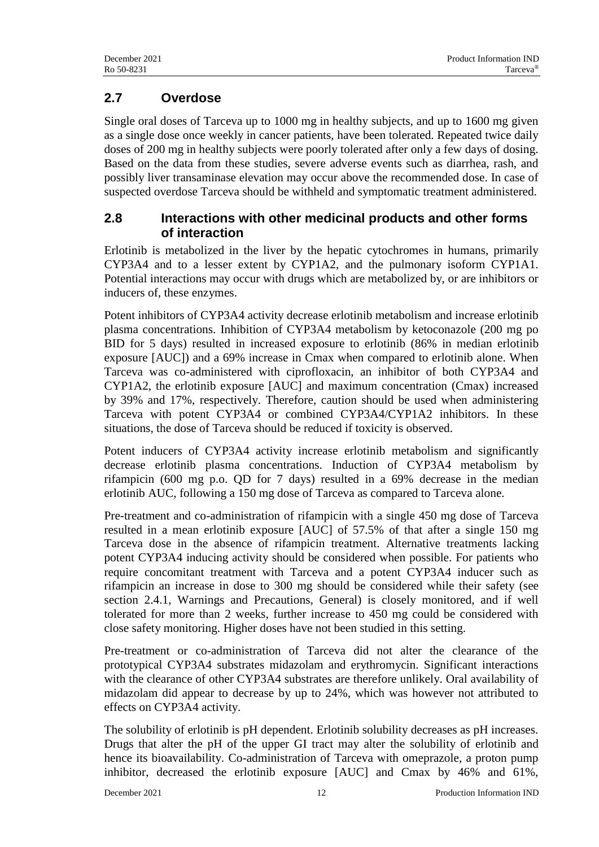# **2.7 Overdose**

Single oral doses of Tarceva up to 1000 mg in healthy subjects, and up to 1600 mg given as a single dose once weekly in cancer patients, have been tolerated. Repeated twice daily doses of 200 mg in healthy subjects were poorly tolerated after only a few days of dosing. Based on the data from these studies, severe adverse events such as diarrhea, rash, and possibly liver transaminase elevation may occur above the recommended dose. In case of suspected overdose Tarceva should be withheld and symptomatic treatment administered.

# **2.8 Interactions with other medicinal products and other forms of interaction**

Erlotinib is metabolized in the liver by the hepatic cytochromes in humans, primarily CYP3A4 and to a lesser extent by CYP1A2, and the pulmonary isoform CYP1A1. Potential interactions may occur with drugs which are metabolized by, or are inhibitors or inducers of, these enzymes.

Potent inhibitors of CYP3A4 activity decrease erlotinib metabolism and increase erlotinib plasma concentrations. Inhibition of CYP3A4 metabolism by ketoconazole (200 mg po BID for 5 days) resulted in increased exposure to erlotinib (86% in median erlotinib exposure [AUC]) and a 69% increase in Cmax when compared to erlotinib alone. When Tarceva was co-administered with ciprofloxacin, an inhibitor of both CYP3A4 and CYP1A2, the erlotinib exposure [AUC] and maximum concentration (Cmax) increased by 39% and 17%, respectively. Therefore, caution should be used when administering Tarceva with potent CYP3A4 or combined CYP3A4/CYP1A2 inhibitors. In these situations, the dose of Tarceva should be reduced if toxicity is observed.

Potent inducers of CYP3A4 activity increase erlotinib metabolism and significantly decrease erlotinib plasma concentrations. Induction of CYP3A4 metabolism by rifampicin (600 mg p.o. QD for 7 days) resulted in a 69% decrease in the median erlotinib AUC, following a 150 mg dose of Tarceva as compared to Tarceva alone.

Pre-treatment and co-administration of rifampicin with a single 450 mg dose of Tarceva resulted in a mean erlotinib exposure [AUC] of 57.5% of that after a single 150 mg Tarceva dose in the absence of rifampicin treatment. Alternative treatments lacking potent CYP3A4 inducing activity should be considered when possible. For patients who require concomitant treatment with Tarceva and a potent CYP3A4 inducer such as rifampicin an increase in dose to 300 mg should be considered while their safety (see section 2.4.1, Warnings and Precautions, General) is closely monitored, and if well tolerated for more than 2 weeks, further increase to 450 mg could be considered with close safety monitoring. Higher doses have not been studied in this setting.

Pre-treatment or co-administration of Tarceva did not alter the clearance of the prototypical CYP3A4 substrates midazolam and erythromycin. Significant interactions with the clearance of other CYP3A4 substrates are therefore unlikely. Oral availability of midazolam did appear to decrease by up to 24%, which was however not attributed to effects on CYP3A4 activity.

The solubility of erlotinib is pH dependent. Erlotinib solubility decreases as pH increases. Drugs that alter the pH of the upper GI tract may alter the solubility of erlotinib and hence its bioavailability. Co-administration of Tarceva with omeprazole, a proton pump inhibitor, decreased the erlotinib exposure [AUC] and Cmax by 46% and 61%,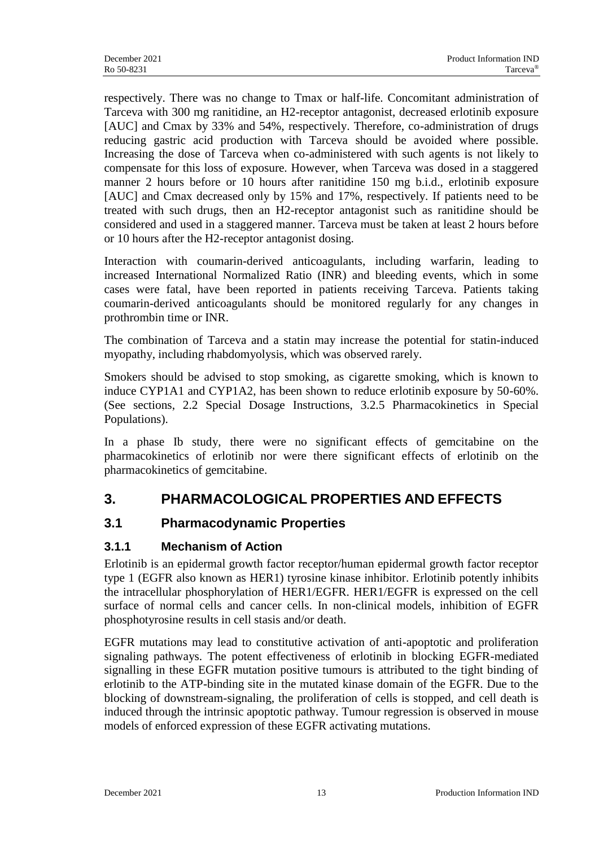respectively. There was no change to Tmax or half-life. Concomitant administration of Tarceva with 300 mg ranitidine, an H2-receptor antagonist, decreased erlotinib exposure [AUC] and Cmax by 33% and 54%, respectively. Therefore, co-administration of drugs reducing gastric acid production with Tarceva should be avoided where possible. Increasing the dose of Tarceva when co-administered with such agents is not likely to compensate for this loss of exposure. However, when Tarceva was dosed in a staggered manner 2 hours before or 10 hours after ranitidine 150 mg b.i.d., erlotinib exposure [AUC] and Cmax decreased only by 15% and 17%, respectively. If patients need to be treated with such drugs, then an H2-receptor antagonist such as ranitidine should be considered and used in a staggered manner. Tarceva must be taken at least 2 hours before or 10 hours after the H2-receptor antagonist dosing.

Interaction with coumarin-derived anticoagulants, including warfarin, leading to increased International Normalized Ratio (INR) and bleeding events, which in some cases were fatal, have been reported in patients receiving Tarceva. Patients taking coumarin-derived anticoagulants should be monitored regularly for any changes in prothrombin time or INR.

The combination of Tarceva and a statin may increase the potential for statin-induced myopathy, including rhabdomyolysis, which was observed rarely.

Smokers should be advised to stop smoking, as cigarette smoking, which is known to induce CYP1A1 and CYP1A2, has been shown to reduce erlotinib exposure by 50-60%. (See sections, 2.2 Special Dosage Instructions, 3.2.5 Pharmacokinetics in Special Populations).

In a phase Ib study, there were no significant effects of gemcitabine on the pharmacokinetics of erlotinib nor were there significant effects of erlotinib on the pharmacokinetics of gemcitabine.

# **3. PHARMACOLOGICAL PROPERTIES AND EFFECTS**

# **3.1 Pharmacodynamic Properties**

# **3.1.1 Mechanism of Action**

Erlotinib is an epidermal growth factor receptor/human epidermal growth factor receptor type 1 (EGFR also known as HER1) tyrosine kinase inhibitor. Erlotinib potently inhibits the intracellular phosphorylation of HER1/EGFR. HER1/EGFR is expressed on the cell surface of normal cells and cancer cells. In non-clinical models, inhibition of EGFR phosphotyrosine results in cell stasis and/or death.

EGFR mutations may lead to constitutive activation of anti-apoptotic and proliferation signaling pathways. The potent effectiveness of erlotinib in blocking EGFR-mediated signalling in these EGFR mutation positive tumours is attributed to the tight binding of erlotinib to the ATP-binding site in the mutated kinase domain of the EGFR. Due to the blocking of downstream-signaling, the proliferation of cells is stopped, and cell death is induced through the intrinsic apoptotic pathway. Tumour regression is observed in mouse models of enforced expression of these EGFR activating mutations.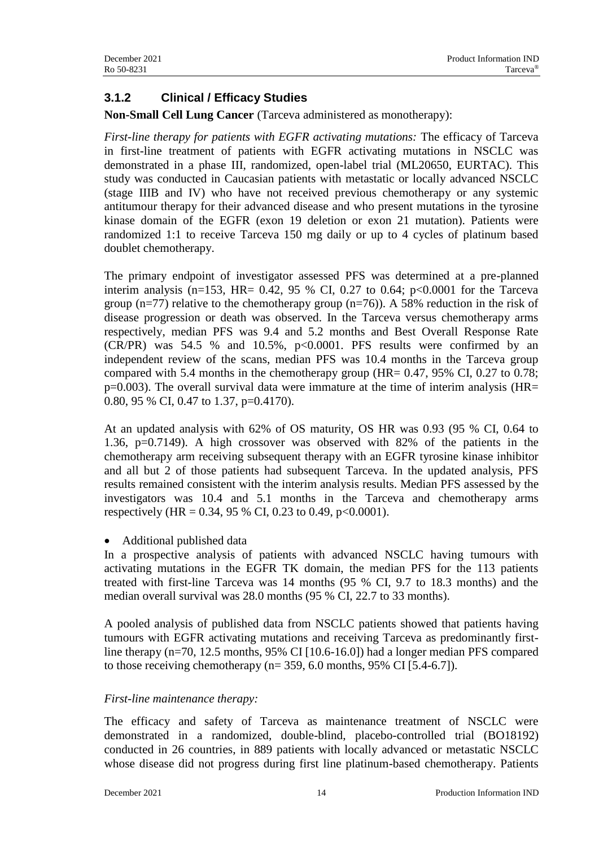### **3.1.2 Clinical / Efficacy Studies**

**Non-Small Cell Lung Cancer** (Tarceva administered as monotherapy):

*First-line therapy for patients with EGFR activating mutations:* The efficacy of Tarceva in first-line treatment of patients with EGFR activating mutations in NSCLC was demonstrated in a phase III, randomized, open-label trial (ML20650, EURTAC). This study was conducted in Caucasian patients with metastatic or locally advanced NSCLC (stage IIIB and IV) who have not received previous chemotherapy or any systemic antitumour therapy for their advanced disease and who present mutations in the tyrosine kinase domain of the EGFR (exon 19 deletion or exon 21 mutation). Patients were randomized 1:1 to receive Tarceva 150 mg daily or up to 4 cycles of platinum based doublet chemotherapy.

The primary endpoint of investigator assessed PFS was determined at a pre-planned interim analysis (n=153, HR= 0.42, 95 % CI, 0.27 to 0.64;  $p<0.0001$  for the Tarceva group (n=77) relative to the chemotherapy group (n=76)). A 58% reduction in the risk of disease progression or death was observed. In the Tarceva versus chemotherapy arms respectively, median PFS was 9.4 and 5.2 months and Best Overall Response Rate  $(CR/PR)$  was 54.5 % and 10.5%, p<0.0001. PFS results were confirmed by an independent review of the scans, median PFS was 10.4 months in the Tarceva group compared with 5.4 months in the chemotherapy group (HR= 0.47, 95% CI, 0.27 to 0.78; p=0.003). The overall survival data were immature at the time of interim analysis (HR= 0.80, 95 % CI, 0.47 to 1.37, p=0.4170).

At an updated analysis with 62% of OS maturity, OS HR was 0.93 (95 % CI, 0.64 to 1.36, p=0.7149). A high crossover was observed with 82% of the patients in the chemotherapy arm receiving subsequent therapy with an EGFR tyrosine kinase inhibitor and all but 2 of those patients had subsequent Tarceva. In the updated analysis, PFS results remained consistent with the interim analysis results. Median PFS assessed by the investigators was 10.4 and 5.1 months in the Tarceva and chemotherapy arms respectively (HR = 0.34, 95 % CI, 0.23 to 0.49, p<0.0001).

• Additional published data

In a prospective analysis of patients with advanced NSCLC having tumours with activating mutations in the EGFR TK domain, the median PFS for the 113 patients treated with first-line Tarceva was 14 months (95 % CI, 9.7 to 18.3 months) and the median overall survival was 28.0 months (95 % CI, 22.7 to 33 months).

A pooled analysis of published data from NSCLC patients showed that patients having tumours with EGFR activating mutations and receiving Tarceva as predominantly firstline therapy (n=70, 12.5 months, 95% CI [10.6-16.0]) had a longer median PFS compared to those receiving chemotherapy (n= 359, 6.0 months, 95% CI [5.4-6.7]).

#### *First-line maintenance therapy:*

The efficacy and safety of Tarceva as maintenance treatment of NSCLC were demonstrated in a randomized, double-blind, placebo-controlled trial (BO18192) conducted in 26 countries, in 889 patients with locally advanced or metastatic NSCLC whose disease did not progress during first line platinum-based chemotherapy. Patients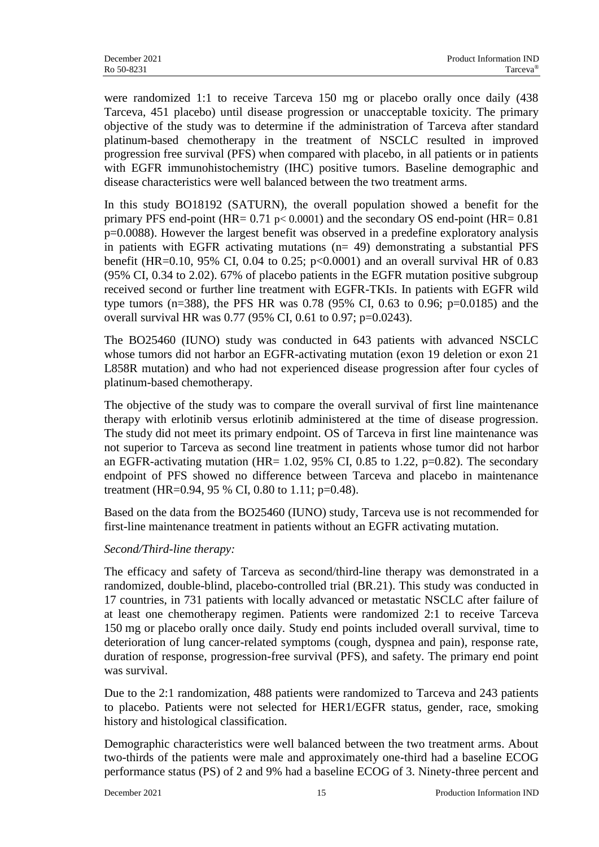were randomized 1:1 to receive Tarceva 150 mg or placebo orally once daily (438 Tarceva, 451 placebo) until disease progression or unacceptable toxicity. The primary objective of the study was to determine if the administration of Tarceva after standard platinum-based chemotherapy in the treatment of NSCLC resulted in improved progression free survival (PFS) when compared with placebo, in all patients or in patients with EGFR immunohistochemistry (IHC) positive tumors. Baseline demographic and disease characteristics were well balanced between the two treatment arms.

In this study BO18192 (SATURN), the overall population showed a benefit for the primary PFS end-point (HR=  $0.71$  p<  $0.0001$ ) and the secondary OS end-point (HR=  $0.81$ ) p=0.0088). However the largest benefit was observed in a predefine exploratory analysis in patients with EGFR activating mutations (n= 49) demonstrating a substantial PFS benefit (HR=0.10, 95% CI, 0.04 to 0.25; p<0.0001) and an overall survival HR of 0.83 (95% CI, 0.34 to 2.02). 67% of placebo patients in the EGFR mutation positive subgroup received second or further line treatment with EGFR-TKIs. In patients with EGFR wild type tumors (n=388), the PFS HR was 0.78 (95% CI, 0.63 to 0.96; p=0.0185) and the overall survival HR was 0.77 (95% CI, 0.61 to 0.97; p=0.0243).

The BO25460 (IUNO) study was conducted in 643 patients with advanced NSCLC whose tumors did not harbor an EGFR-activating mutation (exon 19 deletion or exon 21 L858R mutation) and who had not experienced disease progression after four cycles of platinum-based chemotherapy.

The objective of the study was to compare the overall survival of first line maintenance therapy with erlotinib versus erlotinib administered at the time of disease progression. The study did not meet its primary endpoint. OS of Tarceva in first line maintenance was not superior to Tarceva as second line treatment in patients whose tumor did not harbor an EGFR-activating mutation (HR=  $1.02$ ,  $95\%$  CI, 0.85 to 1.22, p=0.82). The secondary endpoint of PFS showed no difference between Tarceva and placebo in maintenance treatment (HR=0.94, 95 % CI, 0.80 to 1.11; p=0.48).

Based on the data from the BO25460 (IUNO) study, Tarceva use is not recommended for first-line maintenance treatment in patients without an EGFR activating mutation.

#### *Second/Third-line therapy:*

The efficacy and safety of Tarceva as second/third-line therapy was demonstrated in a randomized, double-blind, placebo-controlled trial (BR.21). This study was conducted in 17 countries, in 731 patients with locally advanced or metastatic NSCLC after failure of at least one chemotherapy regimen. Patients were randomized 2:1 to receive Tarceva 150 mg or placebo orally once daily. Study end points included overall survival, time to deterioration of lung cancer-related symptoms (cough, dyspnea and pain), response rate, duration of response, progression-free survival (PFS), and safety. The primary end point was survival.

Due to the 2:1 randomization, 488 patients were randomized to Tarceva and 243 patients to placebo. Patients were not selected for HER1/EGFR status, gender, race, smoking history and histological classification.

Demographic characteristics were well balanced between the two treatment arms. About two-thirds of the patients were male and approximately one-third had a baseline ECOG performance status (PS) of 2 and 9% had a baseline ECOG of 3. Ninety-three percent and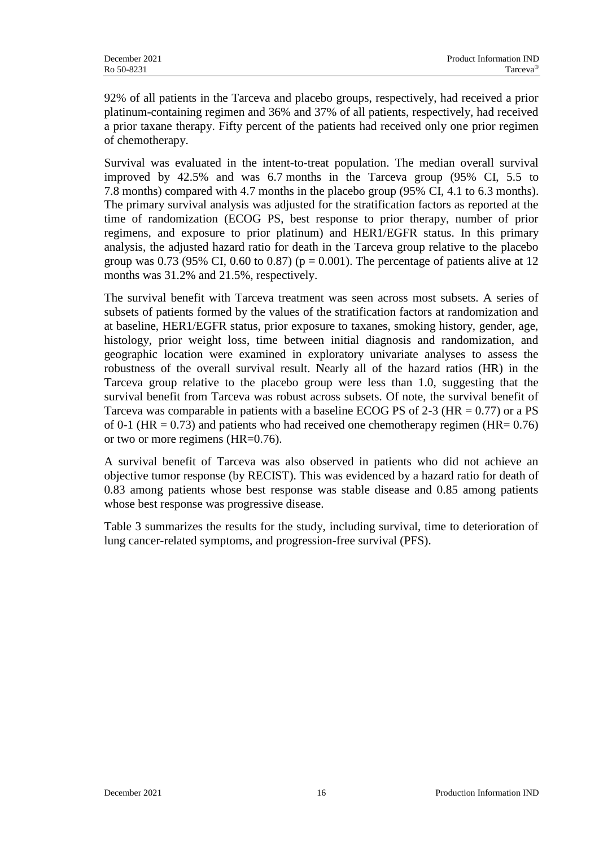92% of all patients in the Tarceva and placebo groups, respectively, had received a prior platinum-containing regimen and 36% and 37% of all patients, respectively, had received a prior taxane therapy. Fifty percent of the patients had received only one prior regimen of chemotherapy.

Survival was evaluated in the intent-to-treat population. The median overall survival improved by 42.5% and was 6.7 months in the Tarceva group (95% CI, 5.5 to 7.8 months) compared with 4.7 months in the placebo group (95% CI, 4.1 to 6.3 months). The primary survival analysis was adjusted for the stratification factors as reported at the time of randomization (ECOG PS, best response to prior therapy, number of prior regimens, and exposure to prior platinum) and HER1/EGFR status. In this primary analysis, the adjusted hazard ratio for death in the Tarceva group relative to the placebo group was 0.73 (95% CI, 0.60 to 0.87) ( $p = 0.001$ ). The percentage of patients alive at 12 months was 31.2% and 21.5%, respectively.

The survival benefit with Tarceva treatment was seen across most subsets. A series of subsets of patients formed by the values of the stratification factors at randomization and at baseline, HER1/EGFR status, prior exposure to taxanes, smoking history, gender, age, histology, prior weight loss, time between initial diagnosis and randomization, and geographic location were examined in exploratory univariate analyses to assess the robustness of the overall survival result. Nearly all of the hazard ratios (HR) in the Tarceva group relative to the placebo group were less than 1.0, suggesting that the survival benefit from Tarceva was robust across subsets. Of note, the survival benefit of Tarceva was comparable in patients with a baseline ECOG PS of 2-3 ( $HR = 0.77$ ) or a PS of 0-1 (HR =  $0.73$ ) and patients who had received one chemotherapy regimen (HR=  $0.76$ ) or two or more regimens (HR=0.76).

A survival benefit of Tarceva was also observed in patients who did not achieve an objective tumor response (by RECIST). This was evidenced by a hazard ratio for death of 0.83 among patients whose best response was stable disease and 0.85 among patients whose best response was progressive disease.

Table 3 summarizes the results for the study, including survival, time to deterioration of lung cancer-related symptoms, and progression-free survival (PFS).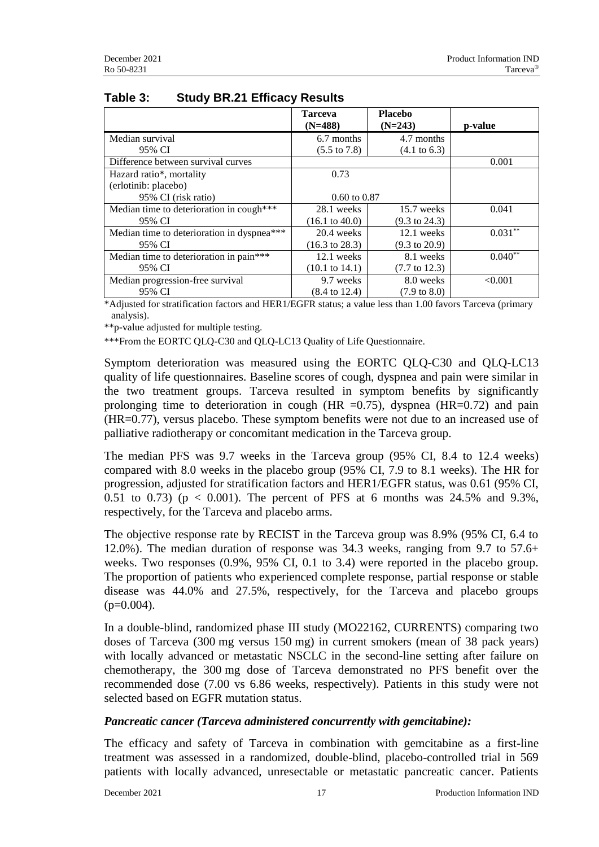|                                            | <b>Tarceva</b><br>$(N=488)$ | <b>Placebo</b><br>$(N=243)$ | p-value      |
|--------------------------------------------|-----------------------------|-----------------------------|--------------|
| Median survival                            | 6.7 months                  | 4.7 months                  |              |
| 95% CI                                     | $(5.5 \text{ to } 7.8)$     | $(4.1 \text{ to } 6.3)$     |              |
| Difference between survival curves         |                             |                             | 0.001        |
| Hazard ratio*, mortality                   | 0.73                        |                             |              |
| (erlotinib: placebo)                       |                             |                             |              |
| 95% CI (risk ratio)                        | $0.60 \text{ to } 0.87$     |                             |              |
| Median time to deterioration in cough***   | 28.1 weeks                  | 15.7 weeks                  | 0.041        |
| 95% CI                                     | $(16.1 \text{ to } 40.0)$   | $(9.3 \text{ to } 24.3)$    |              |
| Median time to deterioration in dyspnea*** | 20.4 weeks                  | 12.1 weeks                  | $0.031$ **   |
| 95% CI                                     | $(16.3 \text{ to } 28.3)$   | $(9.3 \text{ to } 20.9)$    |              |
| Median time to deterioration in pain***    | 12.1 weeks                  | 8.1 weeks                   | $0.040^{**}$ |
| 95% CI                                     | $(10.1 \text{ to } 14.1)$   | $(7.7 \text{ to } 12.3)$    |              |
| Median progression-free survival           | 9.7 weeks                   | 8.0 weeks                   | < 0.001      |
| 95% CI                                     | $(8.4 \text{ to } 12.4)$    | $(7.9 \text{ to } 8.0)$     |              |

### **Table 3: Study BR.21 Efficacy Results**

\*Adjusted for stratification factors and HER1/EGFR status; a value less than 1.00 favors Tarceva (primary analysis).

\*\*p-value adjusted for multiple testing.

\*\*\*From the EORTC QLQ-C30 and QLQ-LC13 Quality of Life Questionnaire.

Symptom deterioration was measured using the EORTC QLQ-C30 and QLQ-LC13 quality of life questionnaires. Baseline scores of cough, dyspnea and pain were similar in the two treatment groups. Tarceva resulted in symptom benefits by significantly prolonging time to deterioration in cough (HR  $=0.75$ ), dyspnea (HR $=0.72$ ) and pain (HR=0.77), versus placebo. These symptom benefits were not due to an increased use of palliative radiotherapy or concomitant medication in the Tarceva group.

The median PFS was 9.7 weeks in the Tarceva group (95% CI, 8.4 to 12.4 weeks) compared with 8.0 weeks in the placebo group (95% CI, 7.9 to 8.1 weeks). The HR for progression, adjusted for stratification factors and HER1/EGFR status, was 0.61 (95% CI, 0.51 to 0.73) ( $p < 0.001$ ). The percent of PFS at 6 months was 24.5% and 9.3%, respectively, for the Tarceva and placebo arms.

The objective response rate by RECIST in the Tarceva group was 8.9% (95% CI, 6.4 to 12.0%). The median duration of response was 34.3 weeks, ranging from 9.7 to 57.6+ weeks. Two responses (0.9%, 95% CI, 0.1 to 3.4) were reported in the placebo group. The proportion of patients who experienced complete response, partial response or stable disease was 44.0% and 27.5%, respectively, for the Tarceva and placebo groups  $(p=0.004)$ .

In a double-blind, randomized phase III study (MO22162, CURRENTS) comparing two doses of Tarceva (300 mg versus 150 mg) in current smokers (mean of 38 pack years) with locally advanced or metastatic NSCLC in the second-line setting after failure on chemotherapy, the 300 mg dose of Tarceva demonstrated no PFS benefit over the recommended dose (7.00 vs 6.86 weeks, respectively). Patients in this study were not selected based on EGFR mutation status.

#### *Pancreatic cancer (Tarceva administered concurrently with gemcitabine):*

The efficacy and safety of Tarceva in combination with gemcitabine as a first-line treatment was assessed in a randomized, double-blind, placebo-controlled trial in 569 patients with locally advanced, unresectable or metastatic pancreatic cancer. Patients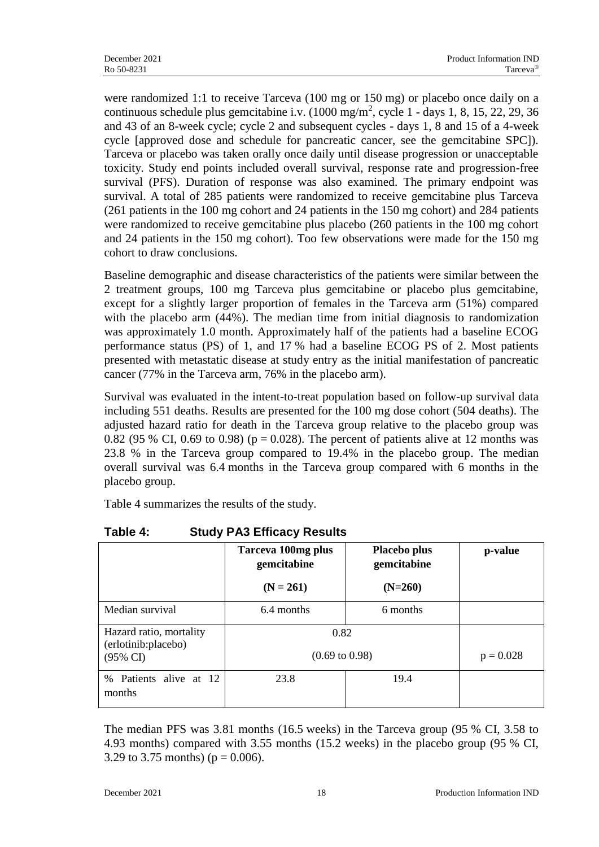were randomized 1:1 to receive Tarceva (100 mg or 150 mg) or placebo once daily on a continuous schedule plus gemcitabine i.v.  $(1000 \text{ mg/m}^2, \text{cycle } 1 - \text{days } 1, 8, 15, 22, 29, 36)$ and 43 of an 8-week cycle; cycle 2 and subsequent cycles - days 1, 8 and 15 of a 4-week cycle [approved dose and schedule for pancreatic cancer, see the gemcitabine SPC]). Tarceva or placebo was taken orally once daily until disease progression or unacceptable toxicity. Study end points included overall survival, response rate and progression-free survival (PFS). Duration of response was also examined. The primary endpoint was survival. A total of 285 patients were randomized to receive gemcitabine plus Tarceva (261 patients in the 100 mg cohort and 24 patients in the 150 mg cohort) and 284 patients were randomized to receive gemcitabine plus placebo (260 patients in the 100 mg cohort and 24 patients in the 150 mg cohort). Too few observations were made for the 150 mg cohort to draw conclusions.

Baseline demographic and disease characteristics of the patients were similar between the 2 treatment groups, 100 mg Tarceva plus gemcitabine or placebo plus gemcitabine, except for a slightly larger proportion of females in the Tarceva arm (51%) compared with the placebo arm  $(44%)$ . The median time from initial diagnosis to randomization was approximately 1.0 month. Approximately half of the patients had a baseline ECOG performance status (PS) of 1, and 17 % had a baseline ECOG PS of 2. Most patients presented with metastatic disease at study entry as the initial manifestation of pancreatic cancer (77% in the Tarceva arm, 76% in the placebo arm).

Survival was evaluated in the intent-to-treat population based on follow-up survival data including 551 deaths. Results are presented for the 100 mg dose cohort (504 deaths). The adjusted hazard ratio for death in the Tarceva group relative to the placebo group was 0.82 (95 % CI, 0.69 to 0.98) ( $p = 0.028$ ). The percent of patients alive at 12 months was 23.8 % in the Tarceva group compared to 19.4% in the placebo group. The median overall survival was 6.4 months in the Tarceva group compared with 6 months in the placebo group.

Table 4 summarizes the results of the study.

|                                                | Tarceva 100mg plus<br>gemcitabine | Placebo plus<br>gemcitabine | p-value |
|------------------------------------------------|-----------------------------------|-----------------------------|---------|
|                                                | $(N = 261)$                       | $(N=260)$                   |         |
| Median survival                                | 6.4 months                        | 6 months                    |         |
| Hazard ratio, mortality<br>(erlotinib:placebo) | 0.82                              |                             |         |
| $(95\% \text{ CI})$                            | $(0.69 \text{ to } 0.98)$         | $p = 0.028$                 |         |
| Patients alive at 12<br>$\%$<br>months         | 23.8                              | 19.4                        |         |

**Table 4: Study PA3 Efficacy Results**

The median PFS was 3.81 months (16.5 weeks) in the Tarceva group (95 % CI, 3.58 to 4.93 months) compared with 3.55 months (15.2 weeks) in the placebo group (95 % CI, 3.29 to 3.75 months) ( $p = 0.006$ ).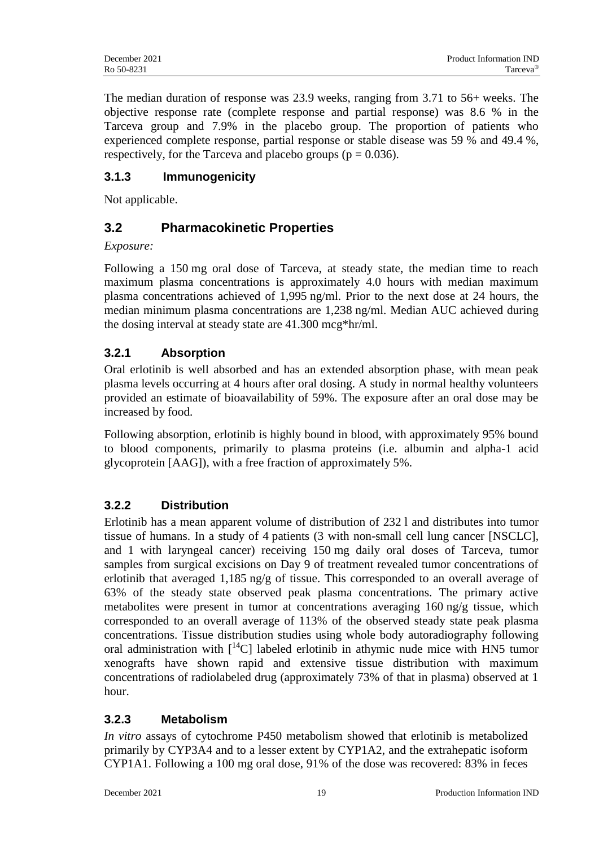The median duration of response was 23.9 weeks, ranging from 3.71 to 56+ weeks. The objective response rate (complete response and partial response) was 8.6 % in the Tarceva group and 7.9% in the placebo group. The proportion of patients who experienced complete response, partial response or stable disease was 59 % and 49.4 %, respectively, for the Tarceva and placebo groups ( $p = 0.036$ ).

# **3.1.3 Immunogenicity**

Not applicable.

# **3.2 Pharmacokinetic Properties**

*Exposure:*

Following a 150 mg oral dose of Tarceva, at steady state, the median time to reach maximum plasma concentrations is approximately 4.0 hours with median maximum plasma concentrations achieved of 1,995 ng/ml. Prior to the next dose at 24 hours, the median minimum plasma concentrations are 1,238 ng/ml. Median AUC achieved during the dosing interval at steady state are 41.300 mcg\*hr/ml.

# **3.2.1 Absorption**

Oral erlotinib is well absorbed and has an extended absorption phase, with mean peak plasma levels occurring at 4 hours after oral dosing. A study in normal healthy volunteers provided an estimate of bioavailability of 59%. The exposure after an oral dose may be increased by food.

Following absorption, erlotinib is highly bound in blood, with approximately 95% bound to blood components, primarily to plasma proteins (i.e. albumin and alpha-1 acid glycoprotein [AAG]), with a free fraction of approximately 5%.

# **3.2.2 Distribution**

Erlotinib has a mean apparent volume of distribution of 232 l and distributes into tumor tissue of humans. In a study of 4 patients (3 with non-small cell lung cancer [NSCLC], and 1 with laryngeal cancer) receiving 150 mg daily oral doses of Tarceva, tumor samples from surgical excisions on Day 9 of treatment revealed tumor concentrations of erlotinib that averaged 1,185 ng/g of tissue. This corresponded to an overall average of 63% of the steady state observed peak plasma concentrations. The primary active metabolites were present in tumor at concentrations averaging 160 ng/g tissue, which corresponded to an overall average of 113% of the observed steady state peak plasma concentrations. Tissue distribution studies using whole body autoradiography following oral administration with  $[14C]$  labeled erlotinib in athymic nude mice with HN5 tumor xenografts have shown rapid and extensive tissue distribution with maximum concentrations of radiolabeled drug (approximately 73% of that in plasma) observed at 1 hour.

# **3.2.3 Metabolism**

*In vitro* assays of cytochrome P450 metabolism showed that erlotinib is metabolized primarily by CYP3A4 and to a lesser extent by CYP1A2, and the extrahepatic isoform CYP1A1. Following a 100 mg oral dose, 91% of the dose was recovered: 83% in feces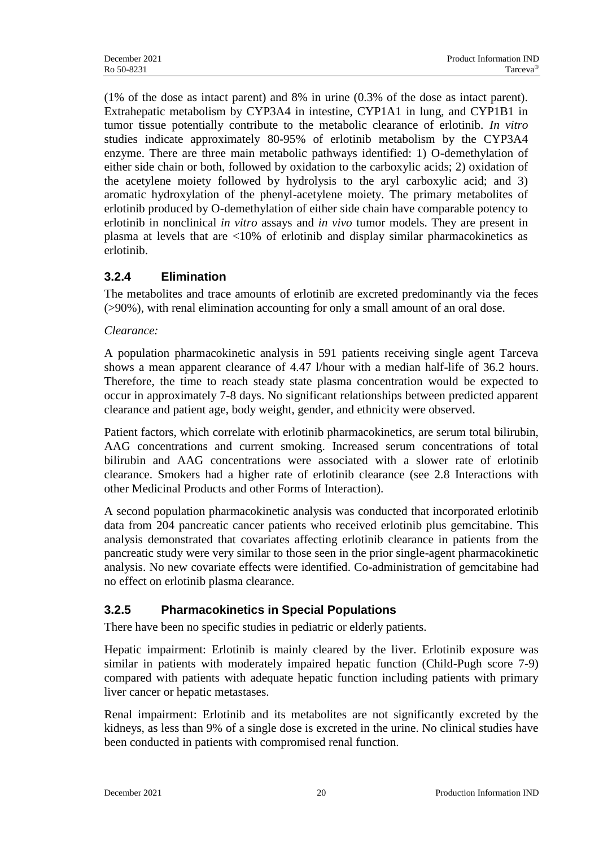(1% of the dose as intact parent) and 8% in urine (0.3% of the dose as intact parent). Extrahepatic metabolism by CYP3A4 in intestine, CYP1A1 in lung, and CYP1B1 in tumor tissue potentially contribute to the metabolic clearance of erlotinib. *In vitro* studies indicate approximately 80-95% of erlotinib metabolism by the CYP3A4 enzyme. There are three main metabolic pathways identified: 1) O-demethylation of either side chain or both, followed by oxidation to the carboxylic acids; 2) oxidation of the acetylene moiety followed by hydrolysis to the aryl carboxylic acid; and 3) aromatic hydroxylation of the phenyl-acetylene moiety. The primary metabolites of erlotinib produced by O-demethylation of either side chain have comparable potency to erlotinib in nonclinical *in vitro* assays and *in vivo* tumor models. They are present in plasma at levels that are <10% of erlotinib and display similar pharmacokinetics as erlotinib.

# **3.2.4 Elimination**

The metabolites and trace amounts of erlotinib are excreted predominantly via the feces (>90%), with renal elimination accounting for only a small amount of an oral dose.

#### *Clearance:*

A population pharmacokinetic analysis in 591 patients receiving single agent Tarceva shows a mean apparent clearance of 4.47 l/hour with a median half-life of 36.2 hours. Therefore, the time to reach steady state plasma concentration would be expected to occur in approximately 7-8 days. No significant relationships between predicted apparent clearance and patient age, body weight, gender, and ethnicity were observed.

Patient factors, which correlate with erlotinib pharmacokinetics, are serum total bilirubin, AAG concentrations and current smoking. Increased serum concentrations of total bilirubin and AAG concentrations were associated with a slower rate of erlotinib clearance. Smokers had a higher rate of erlotinib clearance (see 2.8 Interactions with other Medicinal Products and other Forms of Interaction).

A second population pharmacokinetic analysis was conducted that incorporated erlotinib data from 204 pancreatic cancer patients who received erlotinib plus gemcitabine. This analysis demonstrated that covariates affecting erlotinib clearance in patients from the pancreatic study were very similar to those seen in the prior single-agent pharmacokinetic analysis. No new covariate effects were identified. Co-administration of gemcitabine had no effect on erlotinib plasma clearance.

# **3.2.5 Pharmacokinetics in Special Populations**

There have been no specific studies in pediatric or elderly patients.

Hepatic impairment: Erlotinib is mainly cleared by the liver. Erlotinib exposure was similar in patients with moderately impaired hepatic function (Child-Pugh score 7-9) compared with patients with adequate hepatic function including patients with primary liver cancer or hepatic metastases.

Renal impairment: Erlotinib and its metabolites are not significantly excreted by the kidneys, as less than 9% of a single dose is excreted in the urine. No clinical studies have been conducted in patients with compromised renal function.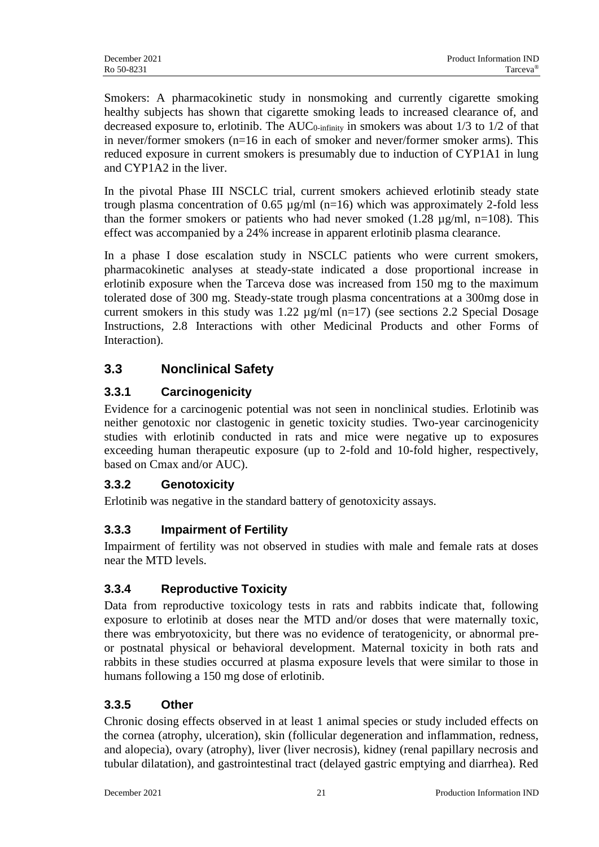Smokers: A pharmacokinetic study in nonsmoking and currently cigarette smoking healthy subjects has shown that cigarette smoking leads to increased clearance of, and decreased exposure to, erlotinib. The  $AUC_{0\text{-infinity}}$  in smokers was about 1/3 to 1/2 of that in never/former smokers (n=16 in each of smoker and never/former smoker arms). This reduced exposure in current smokers is presumably due to induction of CYP1A1 in lung and CYP1A2 in the liver.

In the pivotal Phase III NSCLC trial, current smokers achieved erlotinib steady state trough plasma concentration of 0.65  $\mu$ g/ml (n=16) which was approximately 2-fold less than the former smokers or patients who had never smoked (1.28  $\mu$ g/ml, n=108). This effect was accompanied by a 24% increase in apparent erlotinib plasma clearance.

In a phase I dose escalation study in NSCLC patients who were current smokers, pharmacokinetic analyses at steady-state indicated a dose proportional increase in erlotinib exposure when the Tarceva dose was increased from 150 mg to the maximum tolerated dose of 300 mg. Steady-state trough plasma concentrations at a 300mg dose in current smokers in this study was 1.22  $\mu$ g/ml (n=17) (see sections 2.2 Special Dosage Instructions, 2.8 Interactions with other Medicinal Products and other Forms of Interaction).

# **3.3 Nonclinical Safety**

# **3.3.1 Carcinogenicity**

Evidence for a carcinogenic potential was not seen in nonclinical studies. Erlotinib was neither genotoxic nor clastogenic in genetic toxicity studies. Two-year carcinogenicity studies with erlotinib conducted in rats and mice were negative up to exposures exceeding human therapeutic exposure (up to 2-fold and 10-fold higher, respectively, based on Cmax and/or AUC).

# **3.3.2 Genotoxicity**

Erlotinib was negative in the standard battery of genotoxicity assays.

# **3.3.3 Impairment of Fertility**

Impairment of fertility was not observed in studies with male and female rats at doses near the MTD levels.

# **3.3.4 Reproductive Toxicity**

Data from reproductive toxicology tests in rats and rabbits indicate that, following exposure to erlotinib at doses near the MTD and/or doses that were maternally toxic, there was embryotoxicity, but there was no evidence of teratogenicity, or abnormal preor postnatal physical or behavioral development. Maternal toxicity in both rats and rabbits in these studies occurred at plasma exposure levels that were similar to those in humans following a 150 mg dose of erlotinib.

# **3.3.5 Other**

Chronic dosing effects observed in at least 1 animal species or study included effects on the cornea (atrophy, ulceration), skin (follicular degeneration and inflammation, redness, and alopecia), ovary (atrophy), liver (liver necrosis), kidney (renal papillary necrosis and tubular dilatation), and gastrointestinal tract (delayed gastric emptying and diarrhea). Red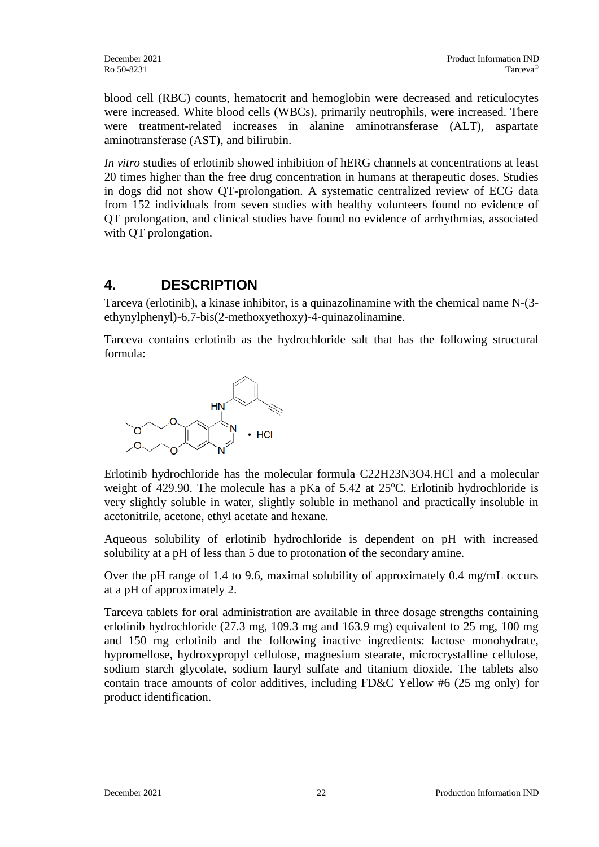blood cell (RBC) counts, hematocrit and hemoglobin were decreased and reticulocytes were increased. White blood cells (WBCs), primarily neutrophils, were increased. There were treatment-related increases in alanine aminotransferase (ALT), aspartate aminotransferase (AST), and bilirubin.

*In vitro* studies of erlotinib showed inhibition of hERG channels at concentrations at least 20 times higher than the free drug concentration in humans at therapeutic doses. Studies in dogs did not show QT-prolongation. A systematic centralized review of ECG data from 152 individuals from seven studies with healthy volunteers found no evidence of QT prolongation, and clinical studies have found no evidence of arrhythmias, associated with QT prolongation.

# **4. DESCRIPTION**

Tarceva (erlotinib), a kinase inhibitor, is a quinazolinamine with the chemical name N-(3 ethynylphenyl)-6,7-bis(2-methoxyethoxy)-4-quinazolinamine.

Tarceva contains erlotinib as the hydrochloride salt that has the following structural formula:



Erlotinib hydrochloride has the molecular formula C22H23N3O4.HCl and a molecular weight of 429.90. The molecule has a pKa of  $5.42$  at  $25^{\circ}$ C. Erlotinib hydrochloride is very slightly soluble in water, slightly soluble in methanol and practically insoluble in acetonitrile, acetone, ethyl acetate and hexane.

Aqueous solubility of erlotinib hydrochloride is dependent on pH with increased solubility at a pH of less than 5 due to protonation of the secondary amine.

Over the pH range of 1.4 to 9.6, maximal solubility of approximately 0.4 mg/mL occurs at a pH of approximately 2.

Tarceva tablets for oral administration are available in three dosage strengths containing erlotinib hydrochloride (27.3 mg, 109.3 mg and 163.9 mg) equivalent to 25 mg, 100 mg and 150 mg erlotinib and the following inactive ingredients: lactose monohydrate, hypromellose, hydroxypropyl cellulose, magnesium stearate, microcrystalline cellulose, sodium starch glycolate, sodium lauryl sulfate and titanium dioxide. The tablets also contain trace amounts of color additives, including FD&C Yellow #6 (25 mg only) for product identification.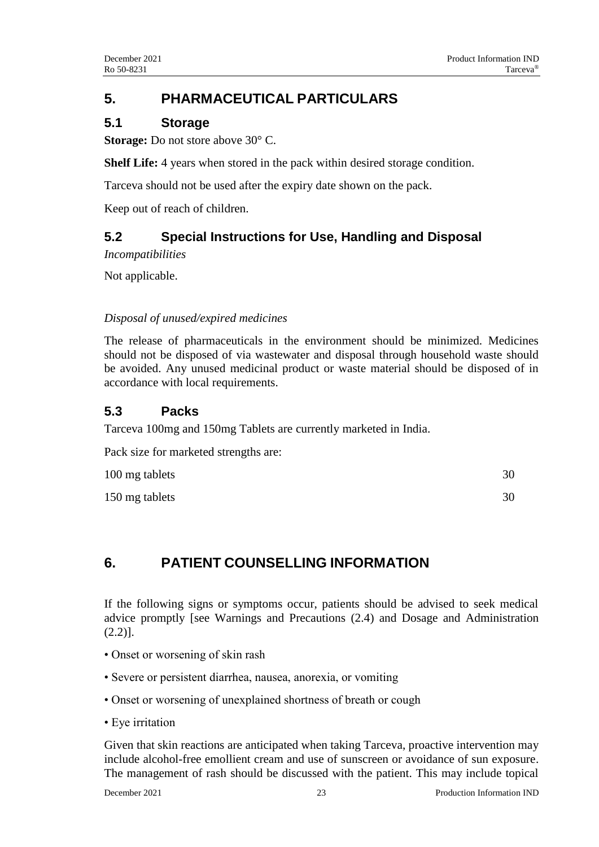# **5. PHARMACEUTICAL PARTICULARS**

### **5.1 Storage**

**Storage:** Do not store above 30 $^{\circ}$  C.

**Shelf Life:** 4 years when stored in the pack within desired storage condition.

Tarceva should not be used after the expiry date shown on the pack.

Keep out of reach of children.

# **5.2 Special Instructions for Use, Handling and Disposal**

*Incompatibilities*

Not applicable.

#### *Disposal of unused/expired medicines*

The release of pharmaceuticals in the environment should be minimized. Medicines should not be disposed of via wastewater and disposal through household waste should be avoided. Any unused medicinal product or waste material should be disposed of in accordance with local requirements.

# **5.3 Packs**

Tarceva 100mg and 150mg Tablets are currently marketed in India.

Pack size for marketed strengths are:

| 100 mg tablets | 30 |
|----------------|----|
| 150 mg tablets | 30 |

# **6. PATIENT COUNSELLING INFORMATION**

If the following signs or symptoms occur, patients should be advised to seek medical advice promptly [see Warnings and Precautions (2.4) and Dosage and Administration (2.2)].

- Onset or worsening of skin rash
- Severe or persistent diarrhea, nausea, anorexia, or vomiting
- Onset or worsening of unexplained shortness of breath or cough
- Eye irritation

Given that skin reactions are anticipated when taking Tarceva, proactive intervention may include alcohol-free emollient cream and use of sunscreen or avoidance of sun exposure. The management of rash should be discussed with the patient. This may include topical